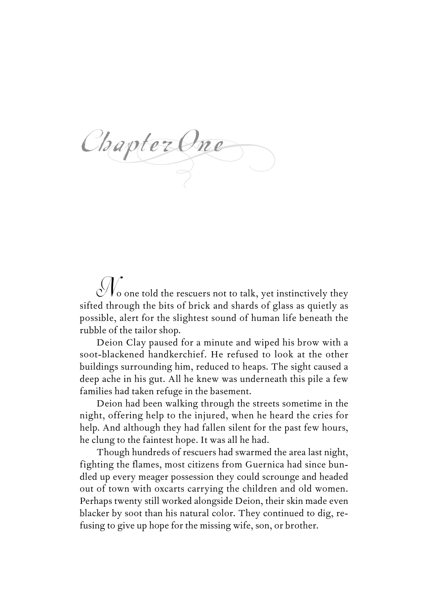$Ch$ papter One

 $\mathcal{N}_{\text{o}}$  one told the rescuers not to talk, yet instinctively they sifted through the bits of brick and shards of glass as quietly as possible, alert for the slightest sound of human life beneath the rubble of the tailor shop.

Deion Clay paused for a minute and wiped his brow with a soot-blackened handkerchief. He refused to look at the other buildings surrounding him, reduced to heaps. The sight caused a deep ache in his gut. All he knew was underneath this pile a few families had taken refuge in the basement.

Deion had been walking through the streets sometime in the night, offering help to the injured, when he heard the cries for help. And although they had fallen silent for the past few hours, he clung to the faintest hope. It was all he had.

Though hundreds of rescuers had swarmed the area last night, fighting the flames, most citizens from Guernica had since bundled up every meager possession they could scrounge and headed out of town with oxcarts carrying the children and old women. Perhaps twenty still worked alongside Deion, their skin made even blacker by soot than his natural color. They continued to dig, refusing to give up hope for the missing wife, son, or brother.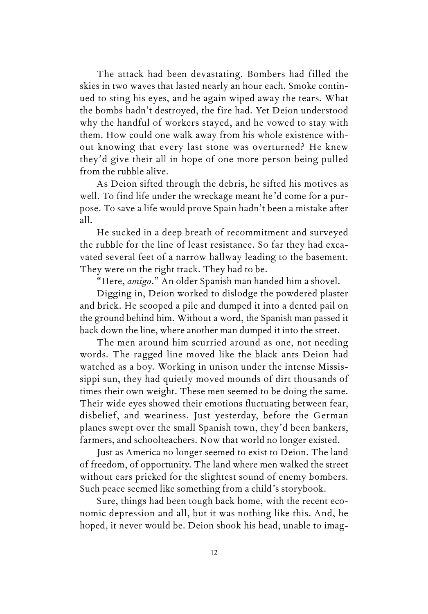The attack had been devastating. Bombers had filled the skies in two waves that lasted nearly an hour each. Smoke continued to sting his eyes, and he again wiped away the tears. What the bombs hadn't destroyed, the fire had. Yet Deion understood why the handful of workers stayed, and he vowed to stay with them. How could one walk away from his whole existence without knowing that every last stone was overturned? He knew they'd give their all in hope of one more person being pulled from the rubble alive.

As Deion sifted through the debris, he sifted his motives as well. To find life under the wreckage meant he'd come for a purpose. To save a life would prove Spain hadn't been a mistake after all.

He sucked in a deep breath of recommitment and surveyed the rubble for the line of least resistance. So far they had excavated several feet of a narrow hallway leading to the basement. They were on the right track. They had to be.

"Here, *amigo*." An older Spanish man handed him a shovel.

Digging in, Deion worked to dislodge the powdered plaster and brick. He scooped a pile and dumped it into a dented pail on the ground behind him. Without a word, the Spanish man passed it back down the line, where another man dumped it into the street.

The men around him scurried around as one, not needing words. The ragged line moved like the black ants Deion had watched as a boy. Working in unison under the intense Mississippi sun, they had quietly moved mounds of dirt thousands of times their own weight. These men seemed to be doing the same. Their wide eyes showed their emotions fluctuating between fear, disbelief, and weariness. Just yesterday, before the German planes swept over the small Spanish town, they'd been bankers, farmers, and schoolteachers. Now that world no longer existed.

Just as America no longer seemed to exist to Deion. The land of freedom, of opportunity. The land where men walked the street without ears pricked for the slightest sound of enemy bombers. Such peace seemed like something from a child's storybook.

Sure, things had been tough back home, with the recent economic depression and all, but it was nothing like this. And, he hoped, it never would be. Deion shook his head, unable to imag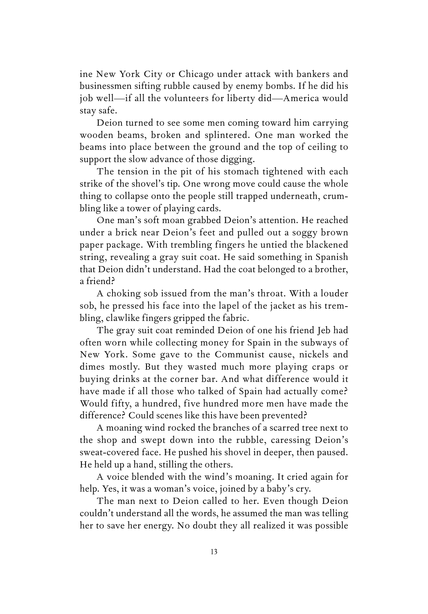ine New York City or Chicago under attack with bankers and businessmen sifting rubble caused by enemy bombs. If he did his job well—if all the volunteers for liberty did—America would stay safe.

Deion turned to see some men coming toward him carrying wooden beams, broken and splintered. One man worked the beams into place between the ground and the top of ceiling to support the slow advance of those digging.

The tension in the pit of his stomach tightened with each strike of the shovel's tip. One wrong move could cause the whole thing to collapse onto the people still trapped underneath, crumbling like a tower of playing cards.

One man's soft moan grabbed Deion's attention. He reached under a brick near Deion's feet and pulled out a soggy brown paper package. With trembling fingers he untied the blackened string, revealing a gray suit coat. He said something in Spanish that Deion didn't understand. Had the coat belonged to a brother, a friend?

A choking sob issued from the man's throat. With a louder sob, he pressed his face into the lapel of the jacket as his trembling, clawlike fingers gripped the fabric.

The gray suit coat reminded Deion of one his friend Jeb had often worn while collecting money for Spain in the subways of New York. Some gave to the Communist cause, nickels and dimes mostly. But they wasted much more playing craps or buying drinks at the corner bar. And what difference would it have made if all those who talked of Spain had actually come? Would fifty, a hundred, five hundred more men have made the difference? Could scenes like this have been prevented?

A moaning wind rocked the branches of a scarred tree next to the shop and swept down into the rubble, caressing Deion's sweat-covered face. He pushed his shovel in deeper, then paused. He held up a hand, stilling the others.

A voice blended with the wind's moaning. It cried again for help. Yes, it was a woman's voice, joined by a baby's cry.

The man next to Deion called to her. Even though Deion couldn't understand all the words, he assumed the man was telling her to save her energy. No doubt they all realized it was possible